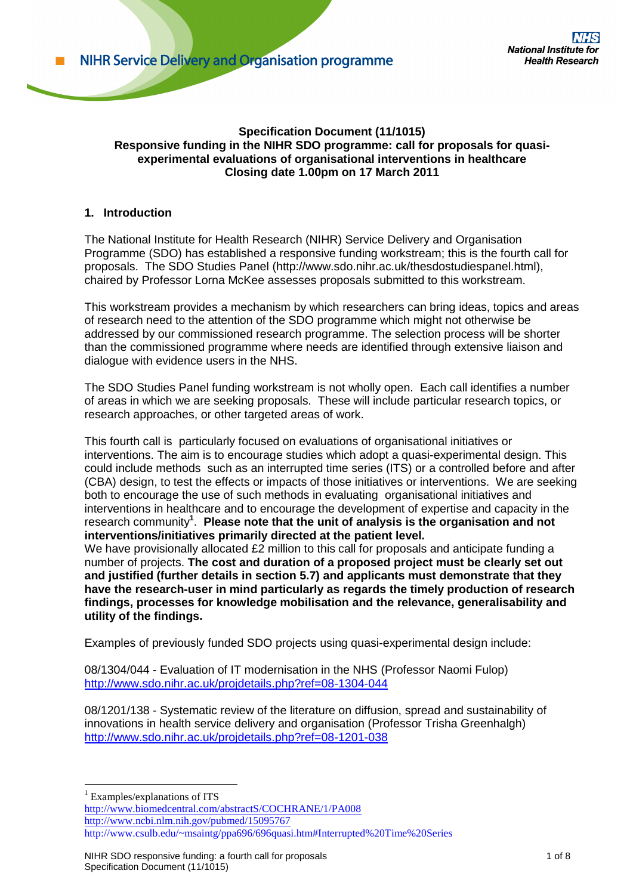#### **Specification Document (11/1015) Responsive funding in the NIHR SDO programme: call for proposals for quasiexperimental evaluations of organisational interventions in healthcare Closing date 1.00pm on 17 March 2011**

### **1. Introduction**

The National Institute for Health Research (NIHR) Service Delivery and Organisation Programme (SDO) has established a responsive funding workstream; this is the fourth call for proposals. The SDO Studies Panel (http://www.sdo.nihr.ac.uk/thesdostudiespanel.html), chaired by Professor Lorna McKee assesses proposals submitted to this workstream.

This workstream provides a mechanism by which researchers can bring ideas, topics and areas of research need to the attention of the SDO programme which might not otherwise be addressed by our commissioned research programme. The selection process will be shorter than the commissioned programme where needs are identified through extensive liaison and dialogue with evidence users in the NHS.

The SDO Studies Panel funding workstream is not wholly open. Each call identifies a number of areas in which we are seeking proposals. These will include particular research topics, or research approaches, or other targeted areas of work.

This fourth call is particularly focused on evaluations of organisational initiatives or interventions. The aim is to encourage studies which adopt a quasi-experimental design. This could include methods such as an interrupted time series (ITS) or a controlled before and after (CBA) design, to test the effects or impacts of those initiatives or interventions. We are seeking both to encourage the use of such methods in evaluating organisational initiatives and interventions in healthcare and to encourage the development of expertise and capacity in the research community**<sup>1</sup>** . **Please note that the unit of analysis is the organisation and not interventions/initiatives primarily directed at the patient level.**

We have provisionally allocated £2 million to this call for proposals and anticipate funding a number of projects. **The cost and duration of a proposed project must be clearly set out and justified (further details in section 5.7) and applicants must demonstrate that they have the research-user in mind particularly as regards the timely production of research findings, processes for knowledge mobilisation and the relevance, generalisability and utility of the findings.** 

Examples of previously funded SDO projects using quasi-experimental design include:

08/1304/044 - Evaluation of IT modernisation in the NHS (Professor Naomi Fulop) <http://www.sdo.nihr.ac.uk/projdetails.php?ref=08-1304-044>

08/1201/138 - Systematic review of the literature on diffusion, spread and sustainability of innovations in health service delivery and organisation (Professor Trisha Greenhalgh) <http://www.sdo.nihr.ac.uk/projdetails.php?ref=08-1201-038>

1  $<sup>1</sup>$  Examples/explanations of ITS</sup> <http://www.biomedcentral.com/abstractS/COCHRANE/1/PA008> <http://www.ncbi.nlm.nih.gov/pubmed/15095767> http://www.csulb.edu/~msaintg/ppa696/696quasi.htm#Interrupted%20Time%20Series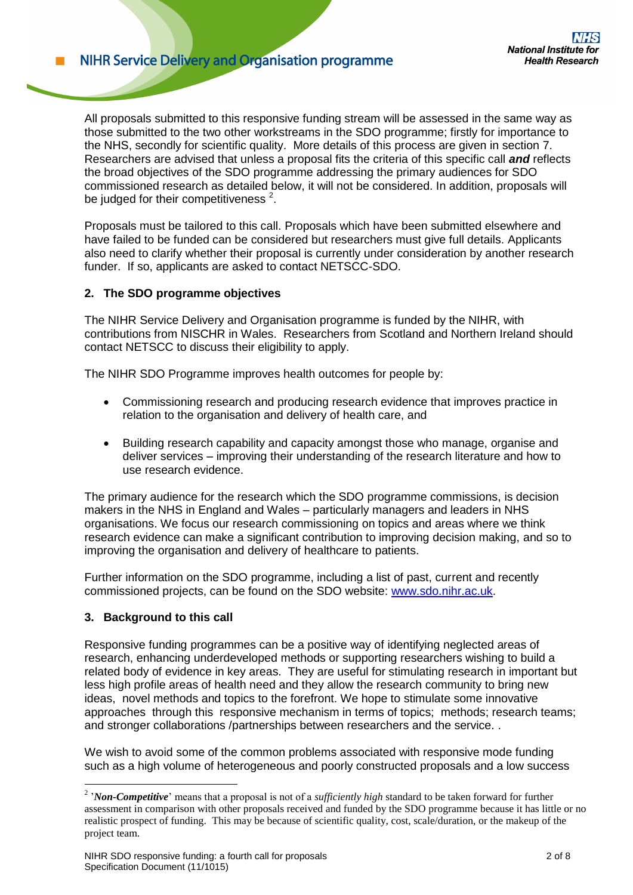**NIHR Service Delivery and Organisation programme** 

All proposals submitted to this responsive funding stream will be assessed in the same way as those submitted to the two other workstreams in the SDO programme; firstly for importance to the NHS, secondly for scientific quality. More details of this process are given in section 7. Researchers are advised that unless a proposal fits the criteria of this specific call *and* reflects the broad objectives of the SDO programme addressing the primary audiences for SDO commissioned research as detailed below, it will not be considered. In addition, proposals will be judged for their competitiveness  $2$ .

Proposals must be tailored to this call. Proposals which have been submitted elsewhere and have failed to be funded can be considered but researchers must give full details. Applicants also need to clarify whether their proposal is currently under consideration by another research funder. If so, applicants are asked to contact NETSCC-SDO.

### **2. The SDO programme objectives**

The NIHR Service Delivery and Organisation programme is funded by the NIHR, with contributions from NISCHR in Wales. Researchers from Scotland and Northern Ireland should contact NETSCC to discuss their eligibility to apply.

The NIHR SDO Programme improves health outcomes for people by:

- Commissioning research and producing research evidence that improves practice in relation to the organisation and delivery of health care, and
- Building research capability and capacity amongst those who manage, organise and deliver services – improving their understanding of the research literature and how to use research evidence.

The primary audience for the research which the SDO programme commissions, is decision makers in the NHS in England and Wales – particularly managers and leaders in NHS organisations. We focus our research commissioning on topics and areas where we think research evidence can make a significant contribution to improving decision making, and so to improving the organisation and delivery of healthcare to patients.

Further information on the SDO programme, including a list of past, current and recently commissioned projects, can be found on the SDO website: [www.sdo.nihr.ac.uk.](http://www.sdo.nihr.ac.uk/)

### **3. Background to this call**

1

Responsive funding programmes can be a positive way of identifying neglected areas of research, enhancing underdeveloped methods or supporting researchers wishing to build a related body of evidence in key areas. They are useful for stimulating research in important but less high profile areas of health need and they allow the research community to bring new ideas, novel methods and topics to the forefront. We hope to stimulate some innovative approaches through this responsive mechanism in terms of topics; methods; research teams; and stronger collaborations /partnerships between researchers and the service. .

We wish to avoid some of the common problems associated with responsive mode funding such as a high volume of heterogeneous and poorly constructed proposals and a low success

<sup>&</sup>lt;sup>2</sup> '*Non-Competitive*' means that a proposal is not of a *sufficiently high* standard to be taken forward for further assessment in comparison with other proposals received and funded by the SDO programme because it has little or no realistic prospect of funding. This may be because of scientific quality, cost, scale/duration, or the makeup of the project team.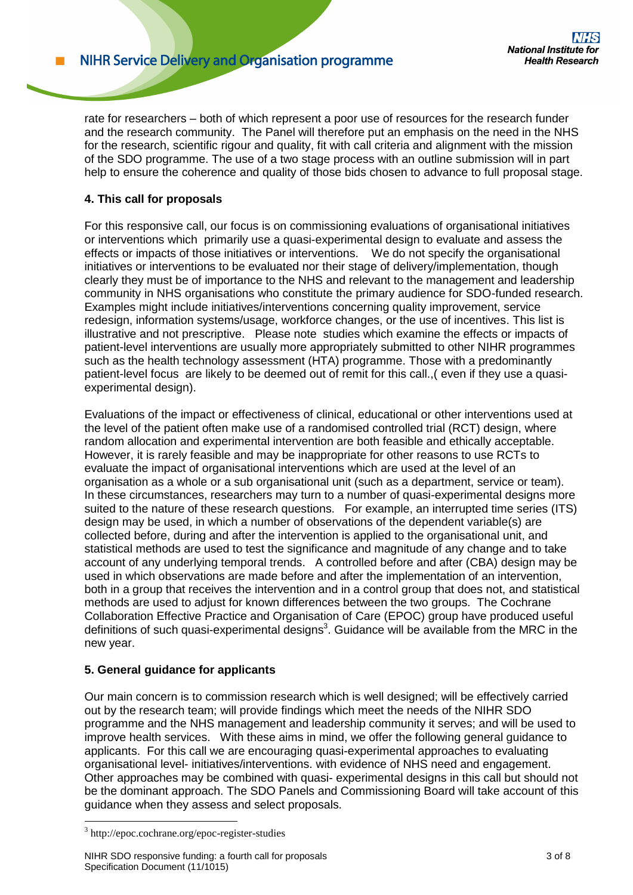**NIHR Service Delivery and Organisation programme** 

rate for researchers – both of which represent a poor use of resources for the research funder and the research community. The Panel will therefore put an emphasis on the need in the NHS for the research, scientific rigour and quality, fit with call criteria and alignment with the mission of the SDO programme. The use of a two stage process with an outline submission will in part help to ensure the coherence and quality of those bids chosen to advance to full proposal stage.

# **4. This call for proposals**

For this responsive call, our focus is on commissioning evaluations of organisational initiatives or interventions which primarily use a quasi-experimental design to evaluate and assess the effects or impacts of those initiatives or interventions. We do not specify the organisational initiatives or interventions to be evaluated nor their stage of delivery/implementation, though clearly they must be of importance to the NHS and relevant to the management and leadership community in NHS organisations who constitute the primary audience for SDO-funded research. Examples might include initiatives/interventions concerning quality improvement, service redesign, information systems/usage, workforce changes, or the use of incentives. This list is illustrative and not prescriptive. Please note studies which examine the effects or impacts of patient-level interventions are usually more appropriately submitted to other NIHR programmes such as the health technology assessment (HTA) programme. Those with a predominantly patient-level focus are likely to be deemed out of remit for this call.,( even if they use a quasiexperimental design).

Evaluations of the impact or effectiveness of clinical, educational or other interventions used at the level of the patient often make use of a randomised controlled trial (RCT) design, where random allocation and experimental intervention are both feasible and ethically acceptable. However, it is rarely feasible and may be inappropriate for other reasons to use RCTs to evaluate the impact of organisational interventions which are used at the level of an organisation as a whole or a sub organisational unit (such as a department, service or team). In these circumstances, researchers may turn to a number of quasi-experimental designs more suited to the nature of these research questions. For example, an interrupted time series (ITS) design may be used, in which a number of observations of the dependent variable(s) are collected before, during and after the intervention is applied to the organisational unit, and statistical methods are used to test the significance and magnitude of any change and to take account of any underlying temporal trends. A controlled before and after (CBA) design may be used in which observations are made before and after the implementation of an intervention, both in a group that receives the intervention and in a control group that does not, and statistical methods are used to adjust for known differences between the two groups. The Cochrane Collaboration Effective Practice and Organisation of Care (EPOC) group have produced useful definitions of such quasi-experimental designs<sup>3</sup>. Guidance will be available from the MRC in the new year.

# **5. General guidance for applicants**

Our main concern is to commission research which is well designed; will be effectively carried out by the research team; will provide findings which meet the needs of the NIHR SDO programme and the NHS management and leadership community it serves; and will be used to improve health services. With these aims in mind, we offer the following general guidance to applicants. For this call we are encouraging quasi-experimental approaches to evaluating organisational level- initiatives/interventions. with evidence of NHS need and engagement. Other approaches may be combined with quasi- experimental designs in this call but should not be the dominant approach. The SDO Panels and Commissioning Board will take account of this guidance when they assess and select proposals.

<u>.</u>

<sup>3</sup> http://epoc.cochrane.org/epoc-register-studies

NIHR SDO responsive funding: a fourth call for proposals 3 of 8 Specification Document (11/1015)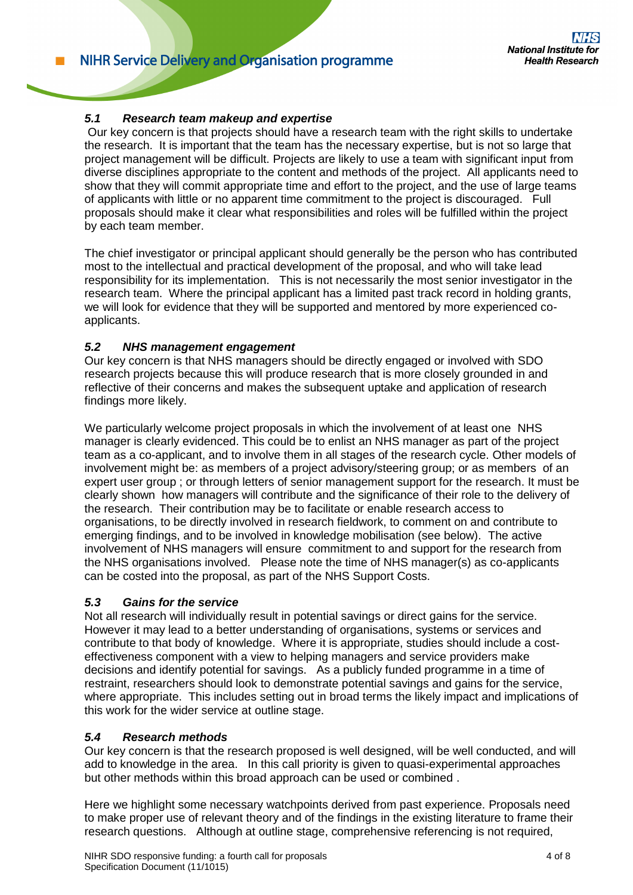## *5.1 Research team makeup and expertise*

Our key concern is that projects should have a research team with the right skills to undertake the research. It is important that the team has the necessary expertise, but is not so large that project management will be difficult. Projects are likely to use a team with significant input from diverse disciplines appropriate to the content and methods of the project. All applicants need to show that they will commit appropriate time and effort to the project, and the use of large teams of applicants with little or no apparent time commitment to the project is discouraged. Full proposals should make it clear what responsibilities and roles will be fulfilled within the project by each team member.

The chief investigator or principal applicant should generally be the person who has contributed most to the intellectual and practical development of the proposal, and who will take lead responsibility for its implementation. This is not necessarily the most senior investigator in the research team. Where the principal applicant has a limited past track record in holding grants, we will look for evidence that they will be supported and mentored by more experienced coapplicants.

### *5.2 NHS management engagement*

Our key concern is that NHS managers should be directly engaged or involved with SDO research projects because this will produce research that is more closely grounded in and reflective of their concerns and makes the subsequent uptake and application of research findings more likely.

We particularly welcome project proposals in which the involvement of at least one NHS manager is clearly evidenced. This could be to enlist an NHS manager as part of the project team as a co-applicant, and to involve them in all stages of the research cycle. Other models of involvement might be: as members of a project advisory/steering group; or as members of an expert user group ; or through letters of senior management support for the research. It must be clearly shown how managers will contribute and the significance of their role to the delivery of the research. Their contribution may be to facilitate or enable research access to organisations, to be directly involved in research fieldwork, to comment on and contribute to emerging findings, and to be involved in knowledge mobilisation (see below). The active involvement of NHS managers will ensure commitment to and support for the research from the NHS organisations involved. Please note the time of NHS manager(s) as co-applicants can be costed into the proposal, as part of the NHS Support Costs.

### *5.3 Gains for the service*

Not all research will individually result in potential savings or direct gains for the service. However it may lead to a better understanding of organisations, systems or services and contribute to that body of knowledge. Where it is appropriate, studies should include a costeffectiveness component with a view to helping managers and service providers make decisions and identify potential for savings. As a publicly funded programme in a time of restraint, researchers should look to demonstrate potential savings and gains for the service, where appropriate. This includes setting out in broad terms the likely impact and implications of this work for the wider service at outline stage.

### *5.4 Research methods*

Our key concern is that the research proposed is well designed, will be well conducted, and will add to knowledge in the area. In this call priority is given to quasi-experimental approaches but other methods within this broad approach can be used or combined .

Here we highlight some necessary watchpoints derived from past experience. Proposals need to make proper use of relevant theory and of the findings in the existing literature to frame their research questions. Although at outline stage, comprehensive referencing is not required,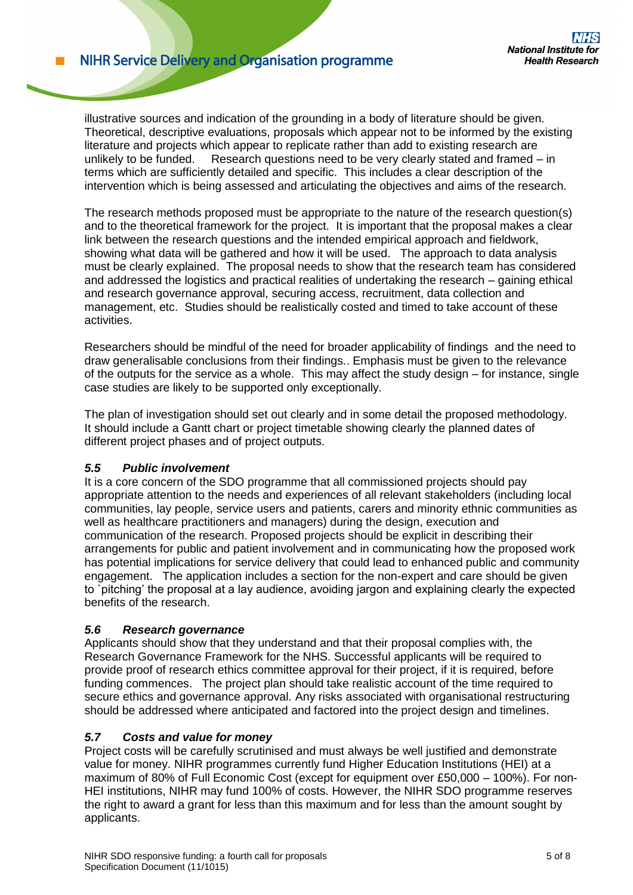illustrative sources and indication of the grounding in a body of literature should be given. Theoretical, descriptive evaluations, proposals which appear not to be informed by the existing literature and projects which appear to replicate rather than add to existing research are unlikely to be funded. Research questions need to be very clearly stated and framed – in terms which are sufficiently detailed and specific. This includes a clear description of the intervention which is being assessed and articulating the objectives and aims of the research.

The research methods proposed must be appropriate to the nature of the research question(s) and to the theoretical framework for the project. It is important that the proposal makes a clear link between the research questions and the intended empirical approach and fieldwork, showing what data will be gathered and how it will be used. The approach to data analysis must be clearly explained. The proposal needs to show that the research team has considered and addressed the logistics and practical realities of undertaking the research – gaining ethical and research governance approval, securing access, recruitment, data collection and management, etc. Studies should be realistically costed and timed to take account of these activities.

Researchers should be mindful of the need for broader applicability of findings and the need to draw generalisable conclusions from their findings.. Emphasis must be given to the relevance of the outputs for the service as a whole. This may affect the study design – for instance, single case studies are likely to be supported only exceptionally.

The plan of investigation should set out clearly and in some detail the proposed methodology. It should include a Gantt chart or project timetable showing clearly the planned dates of different project phases and of project outputs.

### *5.5 Public involvement*

It is a core concern of the SDO programme that all commissioned projects should pay appropriate attention to the needs and experiences of all relevant stakeholders (including local communities, lay people, service users and patients, carers and minority ethnic communities as well as healthcare practitioners and managers) during the design, execution and communication of the research. Proposed projects should be explicit in describing their arrangements for public and patient involvement and in communicating how the proposed work has potential implications for service delivery that could lead to enhanced public and community engagement. The application includes a section for the non-expert and care should be given to `pitching' the proposal at a lay audience, avoiding jargon and explaining clearly the expected benefits of the research.

### *5.6 Research governance*

Applicants should show that they understand and that their proposal complies with, the Research Governance Framework for the NHS. Successful applicants will be required to provide proof of research ethics committee approval for their project, if it is required, before funding commences. The project plan should take realistic account of the time required to secure ethics and governance approval. Any risks associated with organisational restructuring should be addressed where anticipated and factored into the project design and timelines.

### *5.7 Costs and value for money*

Project costs will be carefully scrutinised and must always be well justified and demonstrate value for money. NIHR programmes currently fund Higher Education Institutions (HEI) at a maximum of 80% of Full Economic Cost (except for equipment over £50,000 – 100%). For non-HEI institutions, NIHR may fund 100% of costs. However, the NIHR SDO programme reserves the right to award a grant for less than this maximum and for less than the amount sought by applicants.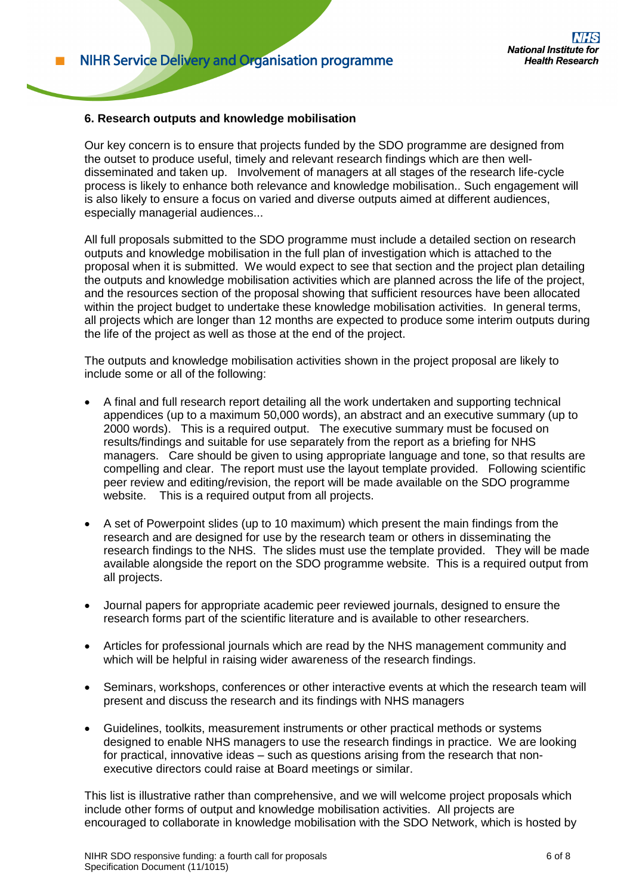#### **6. Research outputs and knowledge mobilisation**

Our key concern is to ensure that projects funded by the SDO programme are designed from the outset to produce useful, timely and relevant research findings which are then welldisseminated and taken up. Involvement of managers at all stages of the research life-cycle process is likely to enhance both relevance and knowledge mobilisation.. Such engagement will is also likely to ensure a focus on varied and diverse outputs aimed at different audiences, especially managerial audiences...

All full proposals submitted to the SDO programme must include a detailed section on research outputs and knowledge mobilisation in the full plan of investigation which is attached to the proposal when it is submitted. We would expect to see that section and the project plan detailing the outputs and knowledge mobilisation activities which are planned across the life of the project, and the resources section of the proposal showing that sufficient resources have been allocated within the project budget to undertake these knowledge mobilisation activities. In general terms, all projects which are longer than 12 months are expected to produce some interim outputs during the life of the project as well as those at the end of the project.

The outputs and knowledge mobilisation activities shown in the project proposal are likely to include some or all of the following:

- A final and full research report detailing all the work undertaken and supporting technical appendices (up to a maximum 50,000 words), an abstract and an executive summary (up to 2000 words). This is a required output. The executive summary must be focused on results/findings and suitable for use separately from the report as a briefing for NHS managers. Care should be given to using appropriate language and tone, so that results are compelling and clear. The report must use the layout template provided. Following scientific peer review and editing/revision, the report will be made available on the SDO programme website. This is a required output from all projects.
- A set of Powerpoint slides (up to 10 maximum) which present the main findings from the research and are designed for use by the research team or others in disseminating the research findings to the NHS. The slides must use the template provided. They will be made available alongside the report on the SDO programme website. This is a required output from all projects.
- Journal papers for appropriate academic peer reviewed journals, designed to ensure the research forms part of the scientific literature and is available to other researchers.
- Articles for professional journals which are read by the NHS management community and which will be helpful in raising wider awareness of the research findings.
- Seminars, workshops, conferences or other interactive events at which the research team will present and discuss the research and its findings with NHS managers
- Guidelines, toolkits, measurement instruments or other practical methods or systems designed to enable NHS managers to use the research findings in practice. We are looking for practical, innovative ideas – such as questions arising from the research that nonexecutive directors could raise at Board meetings or similar.

This list is illustrative rather than comprehensive, and we will welcome project proposals which include other forms of output and knowledge mobilisation activities. All projects are encouraged to collaborate in knowledge mobilisation with the SDO Network, which is hosted by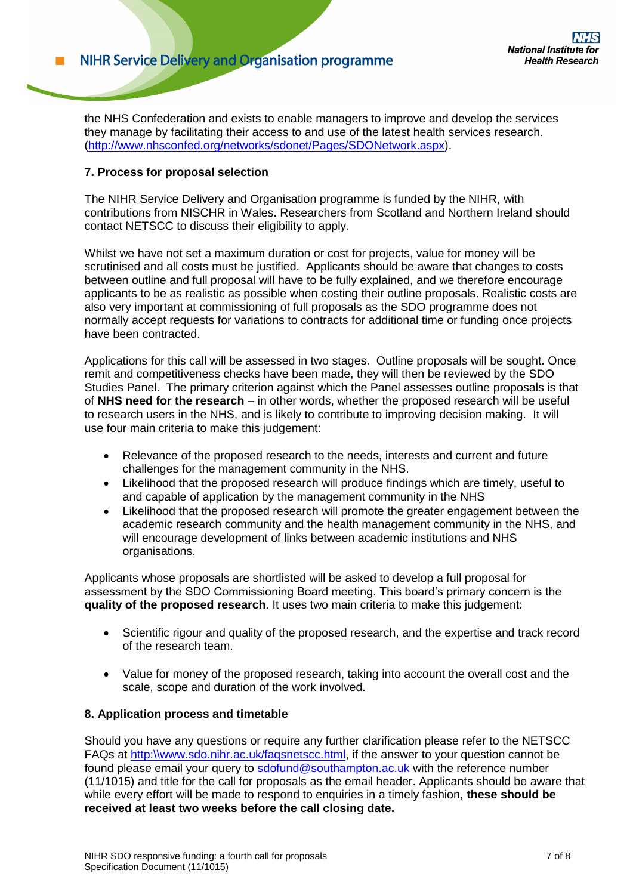the NHS Confederation and exists to enable managers to improve and develop the services they manage by facilitating their access to and use of the latest health services research. [\(http://www.nhsconfed.org/networks/sdonet/Pages/SDONetwork.aspx\)](http://www.nhsconfed.org/networks/sdonet/Pages/SDONetwork.aspx).

### **7. Process for proposal selection**

The NIHR Service Delivery and Organisation programme is funded by the NIHR, with contributions from NISCHR in Wales. Researchers from Scotland and Northern Ireland should contact NETSCC to discuss their eligibility to apply.

Whilst we have not set a maximum duration or cost for projects, value for money will be scrutinised and all costs must be justified. Applicants should be aware that changes to costs between outline and full proposal will have to be fully explained, and we therefore encourage applicants to be as realistic as possible when costing their outline proposals. Realistic costs are also very important at commissioning of full proposals as the SDO programme does not normally accept requests for variations to contracts for additional time or funding once projects have been contracted.

Applications for this call will be assessed in two stages. Outline proposals will be sought. Once remit and competitiveness checks have been made, they will then be reviewed by the SDO Studies Panel. The primary criterion against which the Panel assesses outline proposals is that of **NHS need for the research** – in other words, whether the proposed research will be useful to research users in the NHS, and is likely to contribute to improving decision making. It will use four main criteria to make this judgement:

- Relevance of the proposed research to the needs, interests and current and future challenges for the management community in the NHS.
- Likelihood that the proposed research will produce findings which are timely, useful to and capable of application by the management community in the NHS
- Likelihood that the proposed research will promote the greater engagement between the academic research community and the health management community in the NHS, and will encourage development of links between academic institutions and NHS organisations.

Applicants whose proposals are shortlisted will be asked to develop a full proposal for assessment by the SDO Commissioning Board meeting. This board's primary concern is the **quality of the proposed research**. It uses two main criteria to make this judgement:

- Scientific rigour and quality of the proposed research, and the expertise and track record of the research team.
- Value for money of the proposed research, taking into account the overall cost and the scale, scope and duration of the work involved.

### **8. Application process and timetable**

Should you have any questions or require any further clarification please refer to the NETSCC FAQs at [http:\\www.sdo.nihr.ac.uk/faqsnetscc.html,](http://www.sdo.nihr.ac.uk/faqsnetscc.html) if the answer to your question cannot be found please email your query to sdofund@southampton.ac.uk with the reference number (11/1015) and title for the call for proposals as the email header. Applicants should be aware that while every effort will be made to respond to enquiries in a timely fashion, **these should be received at least two weeks before the call closing date.**